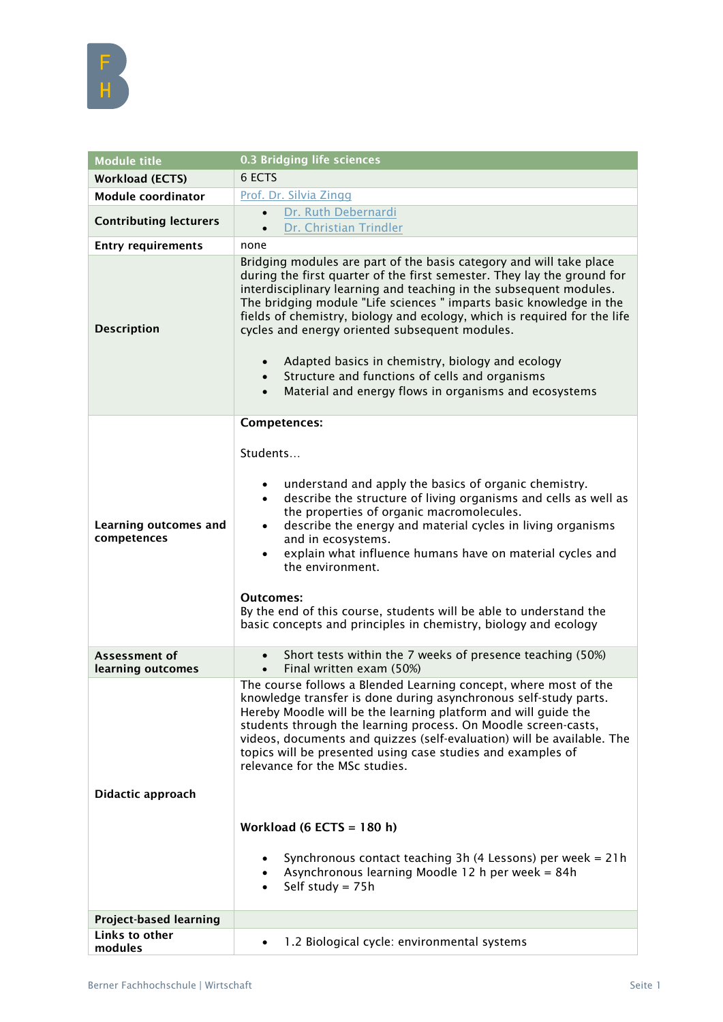

| <b>Module title</b>                  | 0.3 Bridging life sciences                                                                                                                                                                                                                                                                                                                                                                                                                                                                                                                                                                                                                                        |
|--------------------------------------|-------------------------------------------------------------------------------------------------------------------------------------------------------------------------------------------------------------------------------------------------------------------------------------------------------------------------------------------------------------------------------------------------------------------------------------------------------------------------------------------------------------------------------------------------------------------------------------------------------------------------------------------------------------------|
| <b>Workload (ECTS)</b>               | 6 ECTS                                                                                                                                                                                                                                                                                                                                                                                                                                                                                                                                                                                                                                                            |
| Module coordinator                   | Prof. Dr. Silvia Zingg                                                                                                                                                                                                                                                                                                                                                                                                                                                                                                                                                                                                                                            |
| <b>Contributing lecturers</b>        | Dr. Ruth Debernardi<br>$\bullet$<br>Dr. Christian Trindler<br>$\bullet$                                                                                                                                                                                                                                                                                                                                                                                                                                                                                                                                                                                           |
| <b>Entry requirements</b>            | none                                                                                                                                                                                                                                                                                                                                                                                                                                                                                                                                                                                                                                                              |
| <b>Description</b>                   | Bridging modules are part of the basis category and will take place<br>during the first quarter of the first semester. They lay the ground for<br>interdisciplinary learning and teaching in the subsequent modules.<br>The bridging module "Life sciences " imparts basic knowledge in the<br>fields of chemistry, biology and ecology, which is required for the life<br>cycles and energy oriented subsequent modules.<br>Adapted basics in chemistry, biology and ecology<br>$\bullet$<br>Structure and functions of cells and organisms<br>Material and energy flows in organisms and ecosystems                                                             |
|                                      | <b>Competences:</b>                                                                                                                                                                                                                                                                                                                                                                                                                                                                                                                                                                                                                                               |
| Learning outcomes and<br>competences | Students<br>understand and apply the basics of organic chemistry.<br>describe the structure of living organisms and cells as well as<br>$\bullet$<br>the properties of organic macromolecules.<br>describe the energy and material cycles in living organisms<br>$\bullet$<br>and in ecosystems.<br>explain what influence humans have on material cycles and<br>$\bullet$<br>the environment.<br>Outcomes:<br>By the end of this course, students will be able to understand the<br>basic concepts and principles in chemistry, biology and ecology                                                                                                              |
| Assessment of<br>learning outcomes   | Short tests within the 7 weeks of presence teaching (50%)<br>Final written exam (50%)                                                                                                                                                                                                                                                                                                                                                                                                                                                                                                                                                                             |
| Didactic approach                    | The course follows a Blended Learning concept, where most of the<br>knowledge transfer is done during asynchronous self-study parts.<br>Hereby Moodle will be the learning platform and will guide the<br>students through the learning process. On Moodle screen-casts,<br>videos, documents and quizzes (self-evaluation) will be available. The<br>topics will be presented using case studies and examples of<br>relevance for the MSc studies.<br>Workload (6 ECTS = $180$ h)<br>Synchronous contact teaching 3h (4 Lessons) per week = 21h<br>$\bullet$<br>Asynchronous learning Moodle 12 h per week = 84h<br>$\bullet$<br>Self study = $75h$<br>$\bullet$ |
| <b>Project-based learning</b>        |                                                                                                                                                                                                                                                                                                                                                                                                                                                                                                                                                                                                                                                                   |
| Links to other<br>modules            | 1.2 Biological cycle: environmental systems                                                                                                                                                                                                                                                                                                                                                                                                                                                                                                                                                                                                                       |